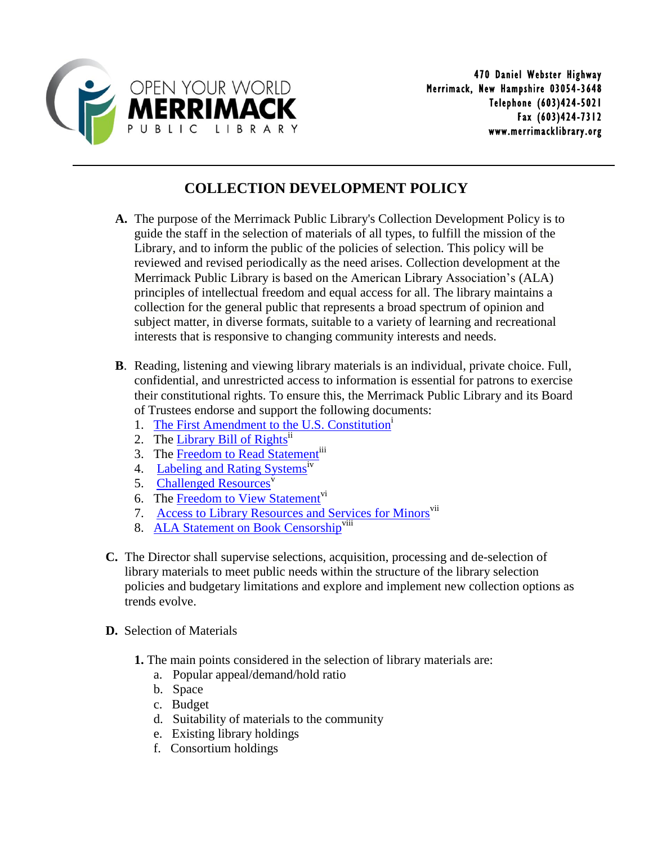

## **COLLECTION DEVELOPMENT POLICY**

- **A.** The purpose of the Merrimack Public Library's Collection Development Policy is to guide the staff in the selection of materials of all types, to fulfill the mission of the Library, and to inform the public of the policies of selection. This policy will be reviewed and revised periodically as the need arises. Collection development at the Merrimack Public Library is based on the American Library Association's (ALA) principles of intellectual freedom and equal access for all. The library maintains a collection for the general public that represents a broad spectrum of opinion and subject matter, in diverse formats, suitable to a variety of learning and recreational interests that is responsive to changing community interests and needs.
- **B**. Reading, listening and viewing library materials is an individual, private choice. Full, confidential, and unrestricted access to information is essential for patrons to exercise their constitutional rights. To ensure this, the Merrimack Public Library and its Board of Trustees endorse and support the following documents:
	- 1. The [First Amendment to the U.S. Constitution](http://www.ala.org/advocacy/intfreedom/censorship)<sup>1</sup>
	- 2. The [Library Bill of Rights](http://www.ala.org/advocacy/intfreedom/librarybill)<sup>ii</sup>
	- 3. The [Freedom to Read Statement](http://www.ala.org/advocacy/intfreedom/freedomreadstatement)<sup>iii</sup>
	- 4. Labeling [and Rating Systems](http://www.ala.org/advocacy/intfreedom/librarybill/interpretations/labelingrating)<sup>iv</sup>
	- 5. [Challenged Resources](http://www.ala.org/advocacy/intfreedom/librarybill/interpretations/challenged-resources) $\overline{v}$
	- 6. The [Freedom to View Statement](http://www.ala.org/advocacy/intfreedom/freedomviewstatement)<sup>vi</sup>
	- 7. [Access to Library Resources and Services for Minors](http://www.ala.org/advocacy/intfreedom/librarybill/interpretations/access-library-resources-for-minors)<sup>vii</sup>
	- 8. [ALA Statement on Book Censorship](https://www.ala.org/advocacy/statement-regarding-censorship)<sup>viii</sup>
- **C.** The Director shall supervise selections, acquisition, processing and de-selection of library materials to meet public needs within the structure of the library selection policies and budgetary limitations and explore and implement new collection options as trends evolve.
- **D.** Selection of Materials
	- **1.** The main points considered in the selection of library materials are:
		- a. Popular appeal/demand/hold ratio
		- b. Space
		- c. Budget
		- d. Suitability of materials to the community
		- e. Existing library holdings
		- f. Consortium holdings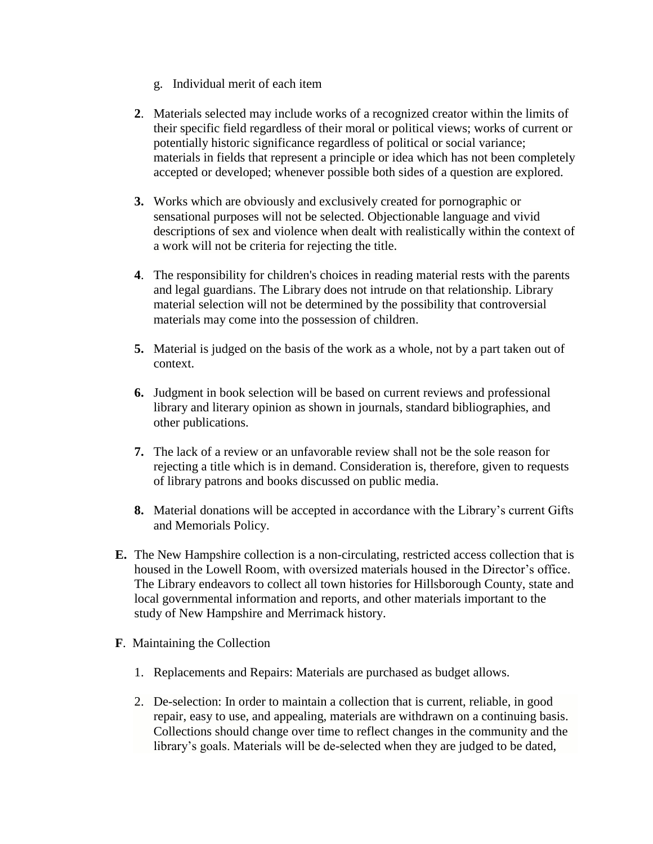- g. Individual merit of each item
- **2**. Materials selected may include works of a recognized creator within the limits of their specific field regardless of their moral or political views; works of current or potentially historic significance regardless of political or social variance; materials in fields that represent a principle or idea which has not been completely accepted or developed; whenever possible both sides of a question are explored.
- **3.** Works which are obviously and exclusively created for pornographic or sensational purposes will not be selected. Objectionable language and vivid descriptions of sex and violence when dealt with realistically within the context of a work will not be criteria for rejecting the title.
- **4**. The responsibility for children's choices in reading material rests with the parents and legal guardians. The Library does not intrude on that relationship. Library material selection will not be determined by the possibility that controversial materials may come into the possession of children.
- **5.** Material is judged on the basis of the work as a whole, not by a part taken out of context.
- **6.** Judgment in book selection will be based on current reviews and professional library and literary opinion as shown in journals, standard bibliographies, and other publications.
- **7.** The lack of a review or an unfavorable review shall not be the sole reason for rejecting a title which is in demand. Consideration is, therefore, given to requests of library patrons and books discussed on public media.
- **8.** Material donations will be accepted in accordance with the Library's current Gifts and Memorials Policy.
- **E.** The New Hampshire collection is a non-circulating, restricted access collection that is housed in the Lowell Room, with oversized materials housed in the Director's office. The Library endeavors to collect all town histories for Hillsborough County, state and local governmental information and reports, and other materials important to the study of New Hampshire and Merrimack history.
- **F**. Maintaining the Collection
	- 1. Replacements and Repairs: Materials are purchased as budget allows.
	- 2. De-selection: In order to maintain a collection that is current, reliable, in good repair, easy to use, and appealing, materials are withdrawn on a continuing basis. Collections should change over time to reflect changes in the community and the library's goals. Materials will be de-selected when they are judged to be dated,